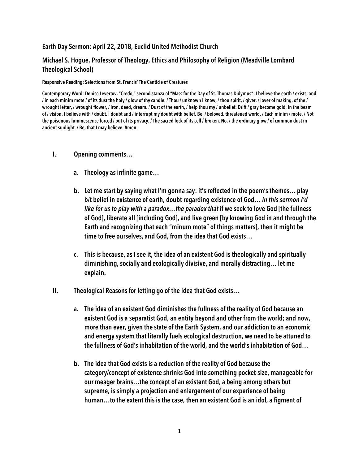## Earth Day Sermon: April 22, 2018, Euclid United Methodist Church

## Michael S. Hogue, Professor of Theology, Ethics and Philosophy of Religion (Meadville Lombard Theological School)

Responsive Reading: Selections from St. Francis' The Canticle of Creatures

Contemporary Word: Denise Levertov, "Credo," second stanza of "Mass for the Day of St. Thomas Didymus": I believe the earth / exists, and / in each minim mote / of its dust the holy / glow of thy candle. / Thou / unknown I know, / thou spirit, / giver, / lover of making, of the / wrought letter, / wrought flower, / iron, deed, dream. / Dust of the earth, / help thou my / unbelief. Drift / gray become gold, in the beam of / vision. I believe with / doubt. I doubt and / interrupt my doubt with belief. Be, / beloved, threatened world. / Each minim / mote. / Not the poisonous luminescence forced / out of its privacy. / The sacred lock of its cell / broken. No, / the ordinary glow / of common dust in ancient sunlight. / Be, that I may believe. Amen.

- I. Opening comments…
	- a. Theology as infinite game…
	- b. Let me start by saying what I'm gonna say: it's reflected in the poem's themes… play b/t belief in existence of earth, doubt regarding existence of God… *in this sermon I'd like for us to play with a paradox…the paradox that* if we seek to love God [the fullness of God], liberate all [including God], and live green [by knowing God in and through the Earth and recognizing that each "minum mote" of things matters], then it might be time to free ourselves, and God, from the idea that God exists…
	- c. This is because, as I see it, the idea of an existent God is theologically and spiritually diminishing, socially and ecologically divisive, and morally distracting… let me explain.
- II. Theological Reasons for letting go of the idea that God exists…
	- a. The idea of an existent God diminishes the fullness of the reality of God because an existent God is a separatist God, an entity beyond and other from the world; and now, more than ever, given the state of the Earth System, and our addiction to an economic and energy system that literally fuels ecological destruction, we need to be attuned to the fullness of God's inhabitation of the world, and the world's inhabitation of God…
	- b. The idea that God exists is a reduction of the reality of God because the category/concept of existence shrinks God into something pocket-size, manageable for our meager brains…the concept of an existent God, a being among others but supreme, is simply a projection and enlargement of our experience of being human…to the extent this is the case, then an existent God is an idol, a figment of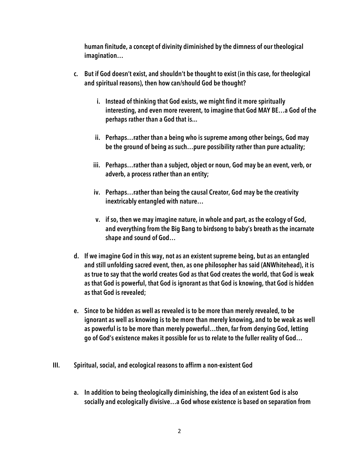human finitude, a concept of divinity diminished by the dimness of our theological imagination…

- c. But if God doesn't exist, and shouldn't be thought to exist (in this case, for theological and spiritual reasons), then how can/should God be thought?
	- i. Instead of thinking that God exists, we might find it more spiritually interesting, and even more reverent, to imagine that God MAY BE…a God of the perhaps rather than a God that is...
	- ii. Perhaps…rather than a being who is supreme among other beings, God may be the ground of being as such…pure possibility rather than pure actuality;
	- iii. Perhaps…rather than a subject, object or noun, God may be an event, verb, or adverb, a process rather than an entity;
	- iv. Perhaps…rather than being the causal Creator, God may be the creativity inextricably entangled with nature…
	- v. if so, then we may imagine nature, in whole and part, as the ecology of God, and everything from the Big Bang to birdsong to baby's breath as the incarnate shape and sound of God…
- d. If we imagine God in this way, not as an existent supreme being, but as an entangled and still unfolding sacred event, then, as one philosopher has said (ANWhitehead), it is as true to say that the world creates God as that God creates the world, that God is weak as that God is powerful, that God is ignorant as that God is knowing, that God is hidden as that God is revealed;
- e. Since to be hidden as well as revealed is to be more than merely revealed, to be ignorant as well as knowing is to be more than merely knowing, and to be weak as well as powerful is to be more than merely powerful…then, far from denying God, letting go of God's existence makes it possible for us to relate to the fuller reality of God…
- III. Spiritual, social, and ecological reasons to affirm a non-existent God
	- a. In addition to being theologically diminishing, the idea of an existent God is also socially and ecologically divisive…a God whose existence is based on separation from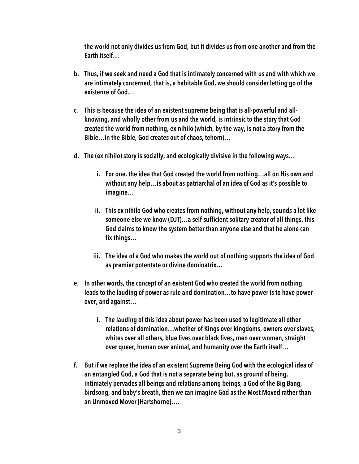the world not only divides us from God, but it divides us from one another and from the Earth itself…

- b. Thus, if we seek and need a God that is intimately concerned with us and with which we are intimately concerned, that is, a habitable God, we should consider letting go of the existence of God…
- c. This is because the idea of an existent supreme being that is all-powerful and allknowing, and wholly other from us and the world, is intrinsic to the story that God created the world from nothing, ex nihilo (which, by the way, is not a story from the Bible…in the Bible, God creates out of chaos, tehom)…
- d. The (ex nihilo) story is socially, and ecologically divisive in the following ways…
	- i. For one, the idea that God created the world from nothing…all on His own and without any help…is about as patriarchal of an idea of God as it's possible to imagine…
	- ii. This ex nihilo God who creates from nothing, without any help, sounds a lot like someone else we know (DJT)…a self-sufficient solitary creator of all things, this God claims to know the system better than anyone else and that he alone can fix things…
	- iii. The idea of a God who makes the world out of nothing supports the idea of God as premier potentate or divine dominatrix…
- e. In other words, the concept of an existent God who created the world from nothing leads to the lauding of power as rule and domination…to have power is to have power over, and against…
	- i. The lauding of this idea about power has been used to legitimate all other relations of domination…whether of Kings over kingdoms, owners over slaves, whites over all others, blue lives over black lives, men over women, straight over queer, human over animal, and humanity over the Earth itself…
- f. But if we replace the idea of an existent Supreme Being God with the ecological idea of an entangled God, a God that is not a separate being but, as ground of being, intimately pervades all beings and relations among beings, a God of the Big Bang, birdsong, and baby's breath, then we can imagine God as the Most Moved rather than an Unmoved Mover [Hartshorne]….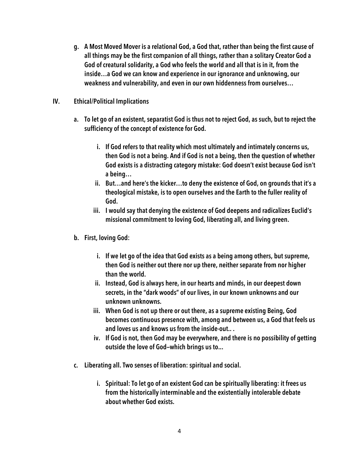- g. A Most Moved Mover is a relational God, a God that, rather than being the first cause of all things may be the first companion of all things, rather than a solitary Creator God a God of creatural solidarity, a God who feels the world and all that is in it, from the inside…a God we can know and experience in our ignorance and unknowing, our weakness and vulnerability, and even in our own hiddenness from ourselves…
- IV. Ethical/Political Implications
	- a. To let go of an existent, separatist God is thus not to reject God, as such, but to reject the sufficiency of the concept of existence for God.
		- i. If God refers to that reality which most ultimately and intimately concerns us, then God is not a being. And if God is not a being, then the question of whether God exists is a distracting category mistake: God doesn't exist because God isn't a being…
		- ii. But…and here's the kicker…to deny the existence of God, on grounds that it's a theological mistake, is to open ourselves and the Earth to the fuller reality of God.
		- iii. I would say that denying the existence of God deepens and radicalizes Euclid's missional commitment to loving God, liberating all, and living green.
	- b. First, loving God:
		- i. If we let go of the idea that God exists as a being among others, but supreme, then God is neither out there nor up there, neither separate from nor higher than the world.
		- ii. Instead, God is always here, in our hearts and minds, in our deepest down secrets, in the "dark woods" of our lives, in our known unknowns and our unknown unknowns.
		- iii. When God is not up there or out there, as a supreme existing Being, God becomes continuous presence with, among and between us, a God that feels us and loves us and knows us from the inside-out.. .
		- iv. If God is not, then God may be everywhere, and there is no possibility of getting outside the love of God—which brings us to...
	- c. Liberating all. Two senses of liberation: spiritual and social.
		- i. Spiritual: To let go of an existent God can be spiritually liberating: it frees us from the historically interminable and the existentially intolerable debate about whether God exists.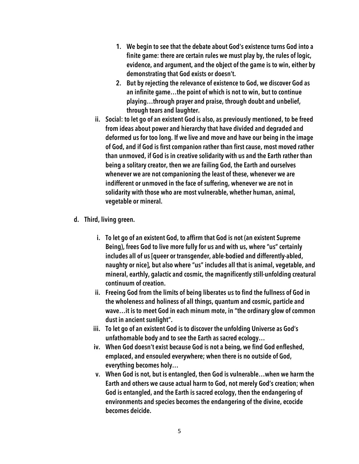- 1. We begin to see that the debate about God's existence turns God into a finite game: there are certain rules we must play by, the rules of logic, evidence, and argument, and the object of the game is to win, either by demonstrating that God exists or doesn't.
- 2. But by rejecting the relevance of existence to God, we discover God as an infinite game…the point of which is not to win, but to continue playing…through prayer and praise, through doubt and unbelief, through tears and laughter.
- ii. Social: to let go of an existent God is also, as previously mentioned, to be freed from ideas about power and hierarchy that have divided and degraded and deformed us for too long. If we live and move and have our being in the image of God, and if God is first companion rather than first cause, most moved rather than unmoved, if God is in creative solidarity with us and the Earth rather than being a solitary creator, then we are failing God, the Earth and ourselves whenever we are not companioning the least of these, whenever we are indifferent or unmoved in the face of suffering, whenever we are not in solidarity with those who are most vulnerable, whether human, animal, vegetable or mineral.
- d. Third, living green.
	- i. To let go of an existent God, to affirm that God is not (an existent Supreme Being), frees God to live more fully for us and with us, where "us" certainly includes all of us [queer or transgender, able-bodied and differently-abled, naughty or nice], but also where "us" includes all that is animal, vegetable, and mineral, earthly, galactic and cosmic, the magnificently still-unfolding creatural continuum of creation.
	- ii. Freeing God from the limits of being liberates us to find the fullness of God in the wholeness and holiness of all things, quantum and cosmic, particle and wave…it is to meet God in each minum mote, in "the ordinary glow of common dust in ancient sunlight".
	- iii. To let go of an existent God is to discover the unfolding Universe as God's unfathomable body and to see the Earth as sacred ecology…
	- iv. When God doesn't exist because God is not a being, we find God enfleshed, emplaced, and ensouled everywhere; when there is no outside of God, everything becomes holy…
	- v. When God is not, but is entangled, then God is vulnerable…when we harm the Earth and others we cause actual harm to God, not merely God's creation; when God is entangled, and the Earth is sacred ecology, then the endangering of environments and species becomes the endangering of the divine, ecocide becomes deicide.